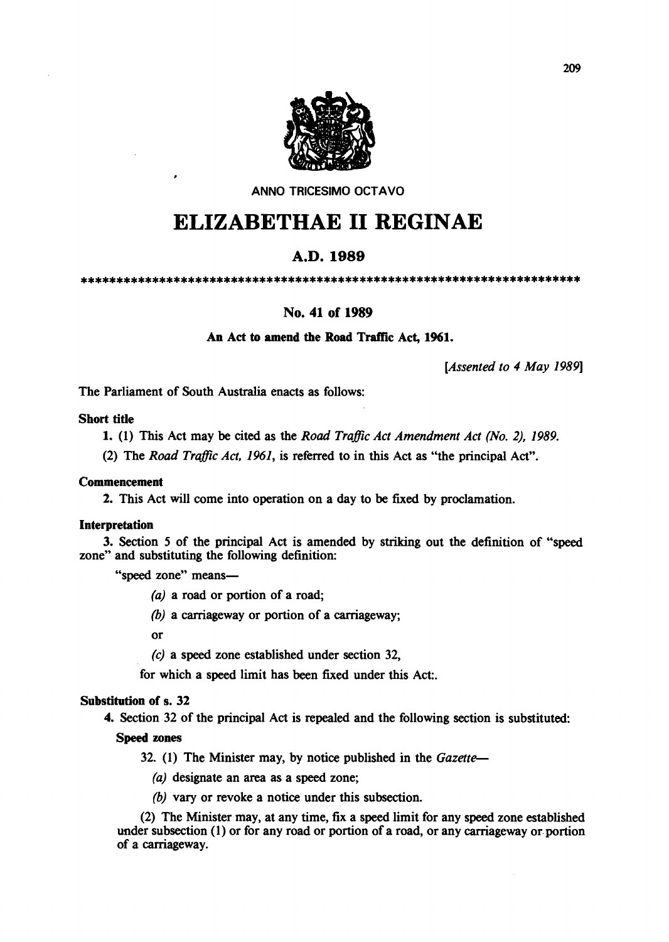

ANNO TRICESIMO OCTAVO

# ELIZABETHAE **11** REGINAE

# A.D.1989

\*\*\*\*\*\*\*\*\*\*\*\*\*\*\*\*\*\*\*\*\*\*\*\*\*\*\*\*\*\*\*\*\*\*\*\*\*\*\*\*\*\*\*\*\*\*\*\*\*\*\*\*\*\*\*\*\*\*\*\*\*\*\*\*\*\*\*\*\*\*

# No. 41 of 1989

# An Act to amend the Road Traffic Act, 1961.

*[Assented to* 4 *May 1989]* 

The Parliament of South Australia enacts as follows:

#### Short title

1. (1) This Act may be cited as the *Road Traffic Act Amendment Act (No.* 2), 1989.

(2) The *Road Traffic Act,* 1961, is referred to in this Act as "the principal Act".

#### Commencement

2. This Act will come into operation on a day to be fixed by proclamation.

#### Interpretation

3. Section 5 of the principal Act is amended by striking out the definition of "speed zone" and substituting the following definition:

"speed zone" means-

(a) a road or portion of a road;

*(b)* a carriageway or portion of a carriageway;

or

(c) a speed zone established under section 32,

for which a speed limit has been fixed under this Act:.

#### Substitution of s. 32

4. Section. 32 of the principal Act is repealed and the following section is substituted:

#### Speed zones

- 32. (1) The Minister may, by notice published in the *Gazette-*
	- (a) designate an area as a speed zone;
	- *(b)* vary or revoke a notice under this subsection.

(2) The Minister may, at any time, fix a speed limit for any speed zone established under subsection (1) or for any road or portion of a road, or any carriageway or portion of a carriageway.